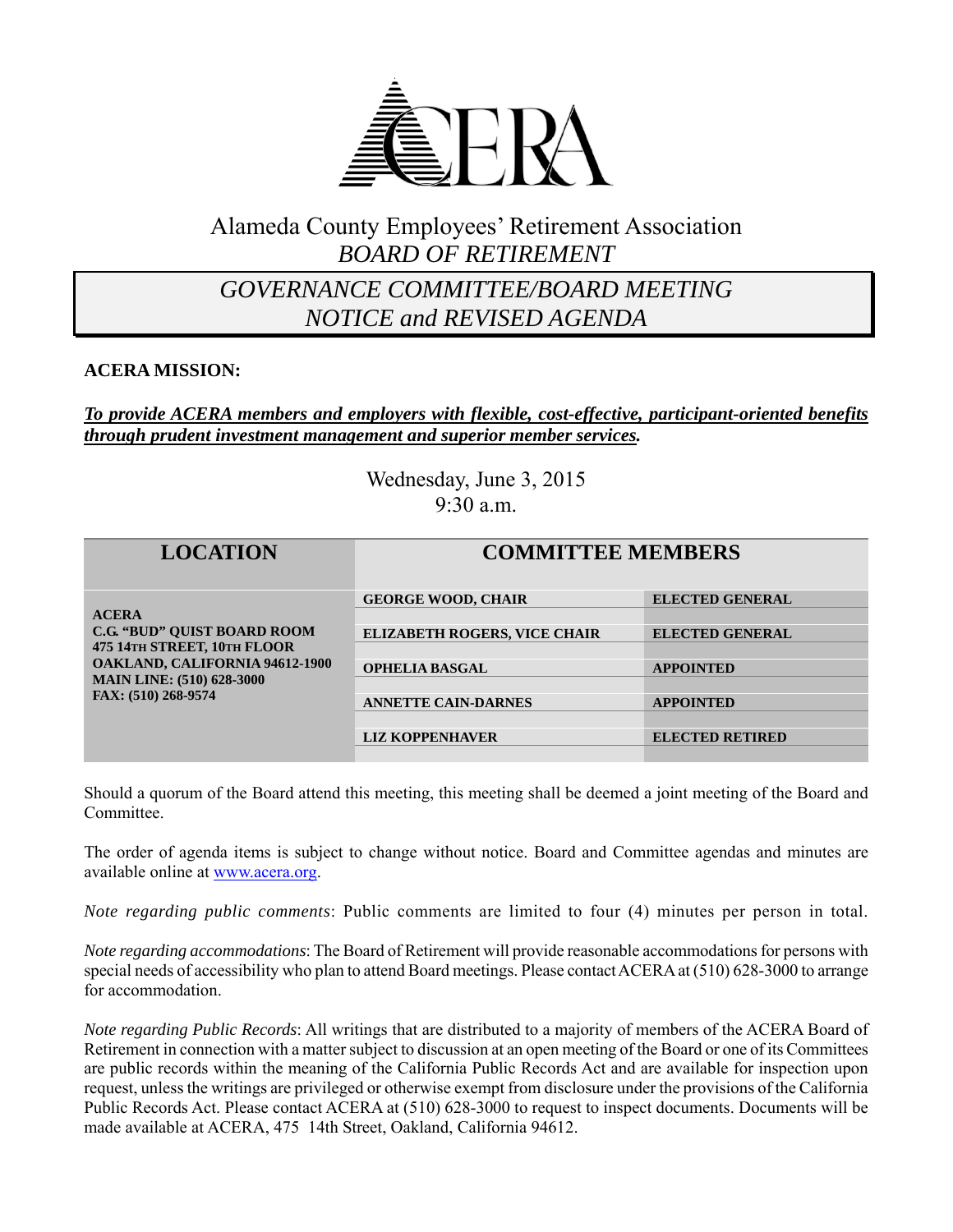

## Alameda County Employees' Retirement Association *BOARD OF RETIREMENT*

## *GOVERNANCE COMMITTEE/BOARD MEETING NOTICE and REVISED AGENDA*

### **ACERA MISSION:**

#### *To provide ACERA members and employers with flexible, cost-effective, participant-oriented benefits through prudent investment management and superior member services.*

Wednesday, June 3, 2015 9:30 a.m.

| <b>LOCATION</b>                                                                                                                                                                       | <b>COMMITTEE MEMBERS</b>            |                        |
|---------------------------------------------------------------------------------------------------------------------------------------------------------------------------------------|-------------------------------------|------------------------|
| <b>ACERA</b><br><b>C.G. "BUD" OUIST BOARD ROOM</b><br>475 14TH STREET, 10TH FLOOR<br><b>OAKLAND, CALIFORNIA 94612-1900</b><br><b>MAIN LINE: (510) 628-3000</b><br>FAX: (510) 268-9574 | <b>GEORGE WOOD, CHAIR</b>           | <b>ELECTED GENERAL</b> |
|                                                                                                                                                                                       | <b>ELIZABETH ROGERS, VICE CHAIR</b> | <b>ELECTED GENERAL</b> |
|                                                                                                                                                                                       | <b>OPHELIA BASGAL</b>               | <b>APPOINTED</b>       |
|                                                                                                                                                                                       |                                     |                        |
|                                                                                                                                                                                       | <b>ANNETTE CAIN-DARNES</b>          | <b>APPOINTED</b>       |
|                                                                                                                                                                                       |                                     |                        |
|                                                                                                                                                                                       | <b>LIZ KOPPENHAVER</b>              | <b>ELECTED RETIRED</b> |

Should a quorum of the Board attend this meeting, this meeting shall be deemed a joint meeting of the Board and Committee.

The order of agenda items is subject to change without notice. Board and Committee agendas and minutes are available online at www.acera.org.

*Note regarding public comments*: Public comments are limited to four (4) minutes per person in total.

*Note regarding accommodations*: The Board of Retirement will provide reasonable accommodations for persons with special needs of accessibility who plan to attend Board meetings. Please contact ACERA at (510) 628-3000 to arrange for accommodation.

*Note regarding Public Records*: All writings that are distributed to a majority of members of the ACERA Board of Retirement in connection with a matter subject to discussion at an open meeting of the Board or one of its Committees are public records within the meaning of the California Public Records Act and are available for inspection upon request, unless the writings are privileged or otherwise exempt from disclosure under the provisions of the California Public Records Act. Please contact ACERA at (510) 628-3000 to request to inspect documents. Documents will be made available at ACERA, 475 14th Street, Oakland, California 94612.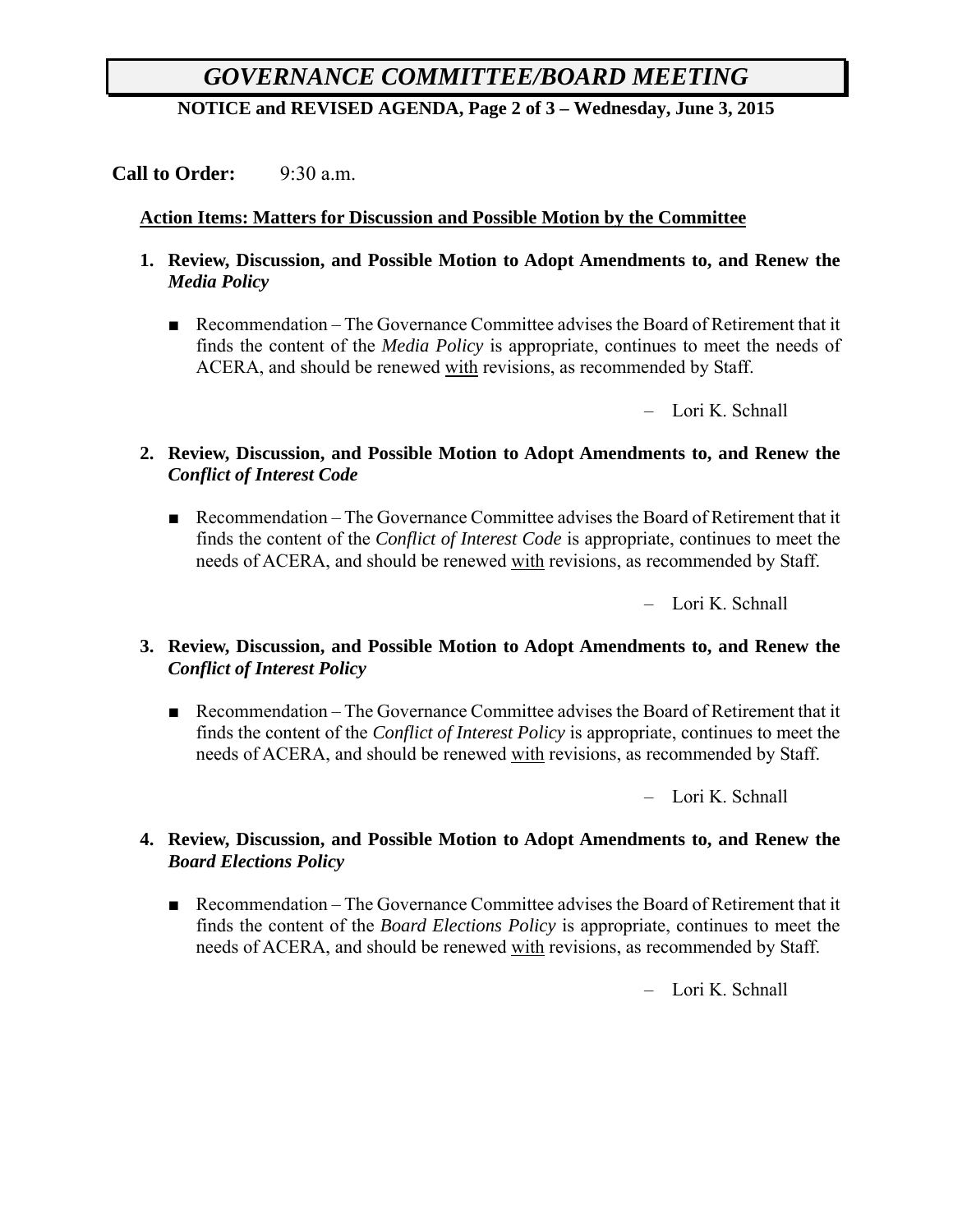# *GOVERNANCE COMMITTEE/BOARD MEETING*

**NOTICE and REVISED AGENDA, Page 2 of 3 – Wednesday, June 3, 2015**

#### **Call to Order:** 9:30 a.m.

#### **Action Items: Matters for Discussion and Possible Motion by the Committee**

- **1. Review, Discussion, and Possible Motion to Adopt Amendments to, and Renew the**  *Media Policy*
	- Recommendation The Governance Committee advises the Board of Retirement that it finds the content of the *Media Policy* is appropriate, continues to meet the needs of ACERA, and should be renewed with revisions, as recommended by Staff.

– Lori K. Schnall

#### **2. Review, Discussion, and Possible Motion to Adopt Amendments to, and Renew the**  *Conflict of Interest Code*

■ Recommendation – The Governance Committee advises the Board of Retirement that it finds the content of the *Conflict of Interest Code* is appropriate, continues to meet the needs of ACERA, and should be renewed with revisions, as recommended by Staff.

– Lori K. Schnall

#### **3. Review, Discussion, and Possible Motion to Adopt Amendments to, and Renew the**  *Conflict of Interest Policy*

■ Recommendation – The Governance Committee advises the Board of Retirement that it finds the content of the *Conflict of Interest Policy* is appropriate, continues to meet the needs of ACERA, and should be renewed with revisions, as recommended by Staff.

– Lori K. Schnall

#### **4. Review, Discussion, and Possible Motion to Adopt Amendments to, and Renew the**  *Board Elections Policy*

■ Recommendation – The Governance Committee advises the Board of Retirement that it finds the content of the *Board Elections Policy* is appropriate, continues to meet the needs of ACERA, and should be renewed with revisions, as recommended by Staff.

– Lori K. Schnall